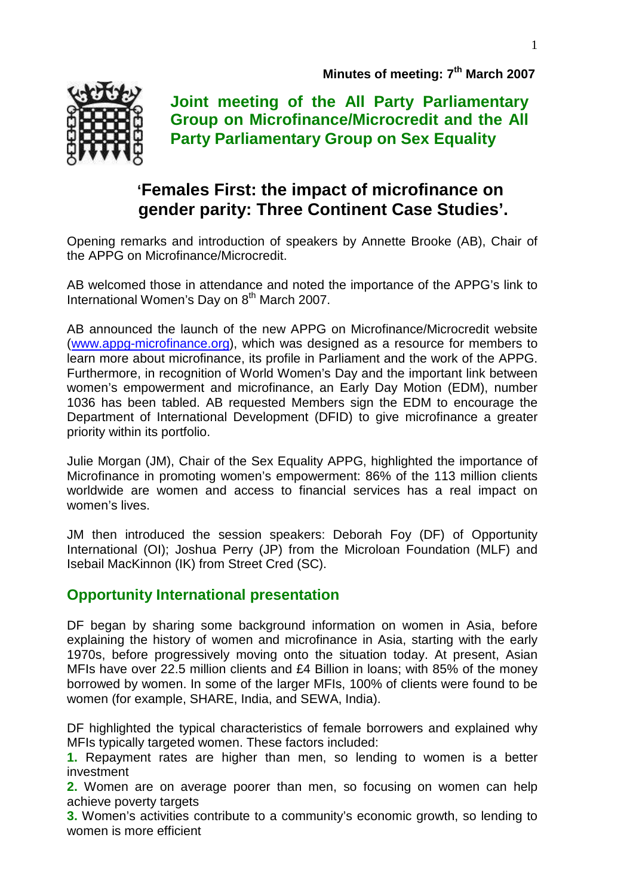

**Joint meeting of the All Party Parliamentary Group on Microfinance/Microcredit and the All Party Parliamentary Group on Sex Equality** 

# **'Females First: the impact of microfinance on gender parity: Three Continent Case Studies'.**

Opening remarks and introduction of speakers by Annette Brooke (AB), Chair of the APPG on Microfinance/Microcredit.

AB welcomed those in attendance and noted the importance of the APPG's link to International Women's Day on 8<sup>th</sup> March 2007.

AB announced the launch of the new APPG on Microfinance/Microcredit website (www.appg-microfinance.org), which was designed as a resource for members to learn more about microfinance, its profile in Parliament and the work of the APPG. Furthermore, in recognition of World Women's Day and the important link between women's empowerment and microfinance, an Early Day Motion (EDM), number 1036 has been tabled. AB requested Members sign the EDM to encourage the Department of International Development (DFID) to give microfinance a greater priority within its portfolio.

Julie Morgan (JM), Chair of the Sex Equality APPG, highlighted the importance of Microfinance in promoting women's empowerment: 86% of the 113 million clients worldwide are women and access to financial services has a real impact on women's lives.

JM then introduced the session speakers: Deborah Foy (DF) of Opportunity International (OI); Joshua Perry (JP) from the Microloan Foundation (MLF) and Isebail MacKinnon (IK) from Street Cred (SC).

# **Opportunity International presentation**

DF began by sharing some background information on women in Asia, before explaining the history of women and microfinance in Asia, starting with the early 1970s, before progressively moving onto the situation today. At present, Asian MFIs have over 22.5 million clients and £4 Billion in loans; with 85% of the money borrowed by women. In some of the larger MFIs, 100% of clients were found to be women (for example, SHARE, India, and SEWA, India).

DF highlighted the typical characteristics of female borrowers and explained why MFIs typically targeted women. These factors included:

**1.** Repayment rates are higher than men, so lending to women is a better investment

**2.** Women are on average poorer than men, so focusing on women can help achieve poverty targets

**3.** Women's activities contribute to a community's economic growth, so lending to women is more efficient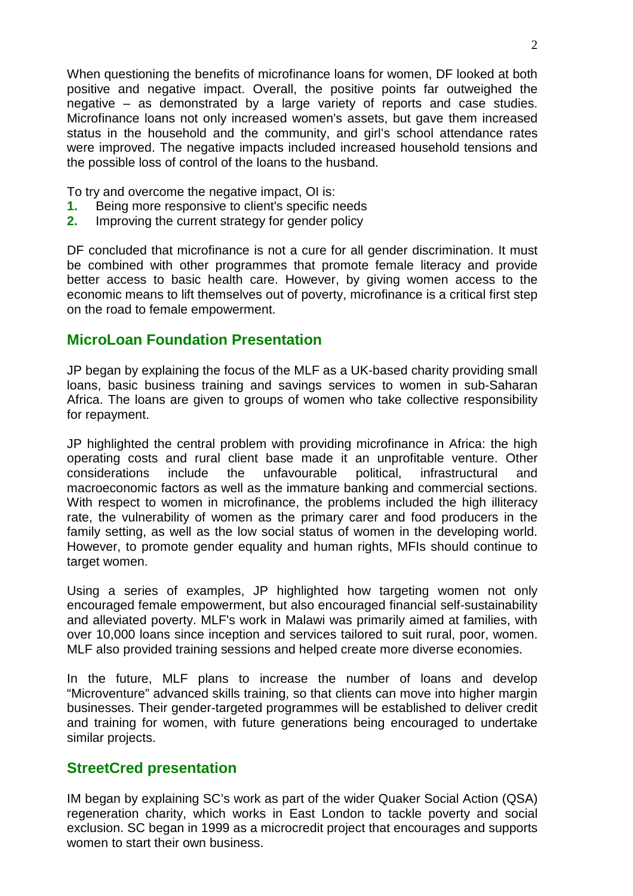When questioning the benefits of microfinance loans for women, DF looked at both positive and negative impact. Overall, the positive points far outweighed the negative – as demonstrated by a large variety of reports and case studies. Microfinance loans not only increased women's assets, but gave them increased status in the household and the community, and girl's school attendance rates were improved. The negative impacts included increased household tensions and the possible loss of control of the loans to the husband.

To try and overcome the negative impact, OI is:

- **1.** Being more responsive to client's specific needs
- **2.** Improving the current strategy for gender policy

DF concluded that microfinance is not a cure for all gender discrimination. It must be combined with other programmes that promote female literacy and provide better access to basic health care. However, by giving women access to the economic means to lift themselves out of poverty, microfinance is a critical first step on the road to female empowerment.

#### **MicroLoan Foundation Presentation**

JP began by explaining the focus of the MLF as a UK-based charity providing small loans, basic business training and savings services to women in sub-Saharan Africa. The loans are given to groups of women who take collective responsibility for repayment.

JP highlighted the central problem with providing microfinance in Africa: the high operating costs and rural client base made it an unprofitable venture. Other considerations include the unfavourable political, infrastructural and macroeconomic factors as well as the immature banking and commercial sections. With respect to women in microfinance, the problems included the high illiteracy rate, the vulnerability of women as the primary carer and food producers in the family setting, as well as the low social status of women in the developing world. However, to promote gender equality and human rights, MFIs should continue to target women.

Using a series of examples, JP highlighted how targeting women not only encouraged female empowerment, but also encouraged financial self-sustainability and alleviated poverty. MLF's work in Malawi was primarily aimed at families, with over 10,000 loans since inception and services tailored to suit rural, poor, women. MLF also provided training sessions and helped create more diverse economies.

In the future, MLF plans to increase the number of loans and develop "Microventure" advanced skills training, so that clients can move into higher margin businesses. Their gender-targeted programmes will be established to deliver credit and training for women, with future generations being encouraged to undertake similar projects.

### **StreetCred presentation**

IM began by explaining SC's work as part of the wider Quaker Social Action (QSA) regeneration charity, which works in East London to tackle poverty and social exclusion. SC began in 1999 as a microcredit project that encourages and supports women to start their own business.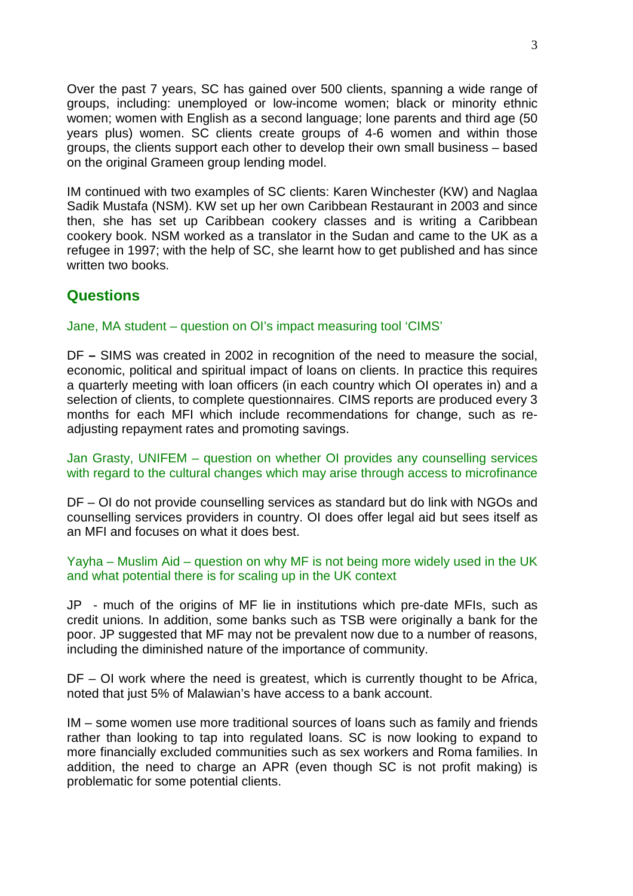Over the past 7 years, SC has gained over 500 clients, spanning a wide range of groups, including: unemployed or low-income women; black or minority ethnic women; women with English as a second language; lone parents and third age (50 years plus) women. SC clients create groups of 4-6 women and within those groups, the clients support each other to develop their own small business – based on the original Grameen group lending model.

IM continued with two examples of SC clients: Karen Winchester (KW) and Naglaa Sadik Mustafa (NSM). KW set up her own Caribbean Restaurant in 2003 and since then, she has set up Caribbean cookery classes and is writing a Caribbean cookery book. NSM worked as a translator in the Sudan and came to the UK as a refugee in 1997; with the help of SC, she learnt how to get published and has since written two books.

## **Questions**

Jane, MA student – question on OI's impact measuring tool 'CIMS'

DF **–** SIMS was created in 2002 in recognition of the need to measure the social, economic, political and spiritual impact of loans on clients. In practice this requires a quarterly meeting with loan officers (in each country which OI operates in) and a selection of clients, to complete questionnaires. CIMS reports are produced every 3 months for each MFI which include recommendations for change, such as readjusting repayment rates and promoting savings.

Jan Grasty, UNIFEM – question on whether OI provides any counselling services with regard to the cultural changes which may arise through access to microfinance

DF – OI do not provide counselling services as standard but do link with NGOs and counselling services providers in country. OI does offer legal aid but sees itself as an MFI and focuses on what it does best.

Yayha – Muslim Aid – question on why MF is not being more widely used in the UK and what potential there is for scaling up in the UK context

JP - much of the origins of MF lie in institutions which pre-date MFIs, such as credit unions. In addition, some banks such as TSB were originally a bank for the poor. JP suggested that MF may not be prevalent now due to a number of reasons, including the diminished nature of the importance of community.

DF – OI work where the need is greatest, which is currently thought to be Africa, noted that just 5% of Malawian's have access to a bank account.

IM – some women use more traditional sources of loans such as family and friends rather than looking to tap into regulated loans. SC is now looking to expand to more financially excluded communities such as sex workers and Roma families. In addition, the need to charge an APR (even though SC is not profit making) is problematic for some potential clients.